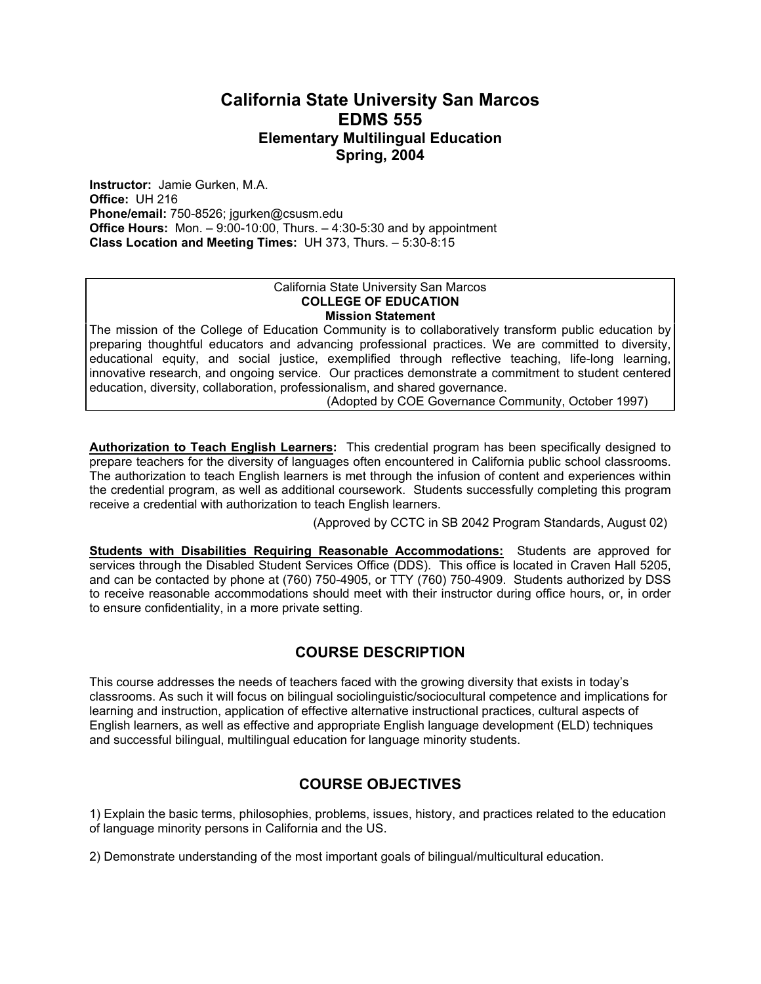# **California State University San Marcos EDMS 555 Elementary Multilingual Education Spring, 2004**

**Instructor:** Jamie Gurken, M.A. **Office:** UH 216 **Phone/email:** 750-8526; jgurken@csusm.edu **Office Hours:** Mon. – 9:00-10:00, Thurs. – 4:30-5:30 and by appointment **Class Location and Meeting Times:** UH 373, Thurs. – 5:30-8:15

#### California State University San Marcos **COLLEGE OF EDUCATION Mission Statement**

The mission of the College of Education Community is to collaboratively transform public education by preparing thoughtful educators and advancing professional practices. We are committed to diversity, educational equity, and social justice, exemplified through reflective teaching, life-long learning, innovative research, and ongoing service. Our practices demonstrate a commitment to student centered education, diversity, collaboration, professionalism, and shared governance.

(Adopted by COE Governance Community, October 1997)

**Authorization to Teach English Learners:** This credential program has been specifically designed to prepare teachers for the diversity of languages often encountered in California public school classrooms. The authorization to teach English learners is met through the infusion of content and experiences within the credential program, as well as additional coursework. Students successfully completing this program receive a credential with authorization to teach English learners.

(Approved by CCTC in SB 2042 Program Standards, August 02)

**Students with Disabilities Requiring Reasonable Accommodations:** Students are approved for services through the Disabled Student Services Office (DDS). This office is located in Craven Hall 5205, and can be contacted by phone at (760) 750-4905, or TTY (760) 750-4909. Students authorized by DSS to receive reasonable accommodations should meet with their instructor during office hours, or, in order to ensure confidentiality, in a more private setting.

# **COURSE DESCRIPTION**

This course addresses the needs of teachers faced with the growing diversity that exists in today's classrooms. As such it will focus on bilingual sociolinguistic/sociocultural competence and implications for learning and instruction, application of effective alternative instructional practices, cultural aspects of English learners, as well as effective and appropriate English language development (ELD) techniques and successful bilingual, multilingual education for language minority students.

# **COURSE OBJECTIVES**

1) Explain the basic terms, philosophies, problems, issues, history, and practices related to the education of language minority persons in California and the US.

2) Demonstrate understanding of the most important goals of bilingual/multicultural education.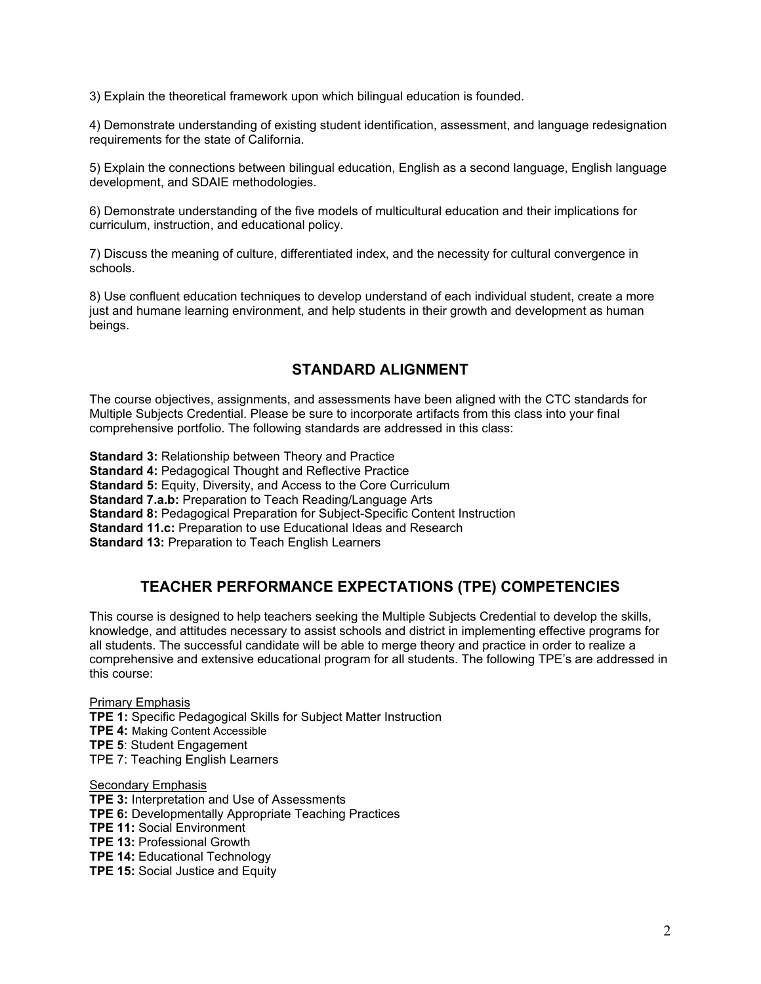3) Explain the theoretical framework upon which bilingual education is founded.

4) Demonstrate understanding of existing student identification, assessment, and language redesignation requirements for the state of California.

5) Explain the connections between bilingual education, English as a second language, English language development, and SDAIE methodologies.

6) Demonstrate understanding of the five models of multicultural education and their implications for curriculum, instruction, and educational policy.

7) Discuss the meaning of culture, differentiated index, and the necessity for cultural convergence in schools.

8) Use confluent education techniques to develop understand of each individual student, create a more just and humane learning environment, and help students in their growth and development as human beings.

# **STANDARD ALIGNMENT**

The course objectives, assignments, and assessments have been aligned with the CTC standards for Multiple Subjects Credential. Please be sure to incorporate artifacts from this class into your final comprehensive portfolio. The following standards are addressed in this class:

**Standard 3: Relationship between Theory and Practice** 

**Standard 4: Pedagogical Thought and Reflective Practice** 

**Standard 5: Equity, Diversity, and Access to the Core Curriculum** 

**Standard 7.a.b:** Preparation to Teach Reading/Language Arts

**Standard 8:** Pedagogical Preparation for Subject-Specific Content Instruction

**Standard 11.c:** Preparation to use Educational Ideas and Research

**Standard 13:** Preparation to Teach English Learners

# **TEACHER PERFORMANCE EXPECTATIONS (TPE) COMPETENCIES**

This course is designed to help teachers seeking the Multiple Subjects Credential to develop the skills, knowledge, and attitudes necessary to assist schools and district in implementing effective programs for all students. The successful candidate will be able to merge theory and practice in order to realize a comprehensive and extensive educational program for all students. The following TPE's are addressed in this course:

Primary Emphasis **TPE 1:** Specific Pedagogical Skills for Subject Matter Instruction **TPE 4:** Making Content Accessible **TPE 5**: Student Engagement TPE 7: Teaching English Learners

Secondary Emphasis

- **TPE 3:** Interpretation and Use of Assessments
- **TPE 6:** Developmentally Appropriate Teaching Practices
- **TPE 11:** Social Environment
- **TPE 13:** Professional Growth
- **TPE 14:** Educational Technology
- **TPE 15:** Social Justice and Equity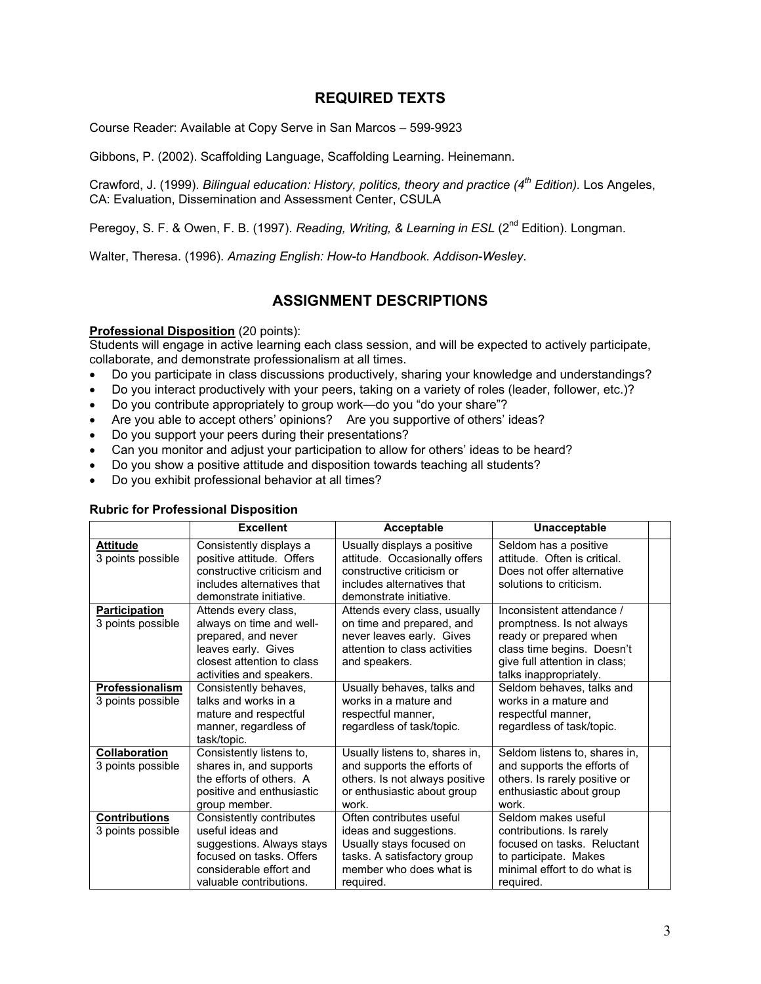## **REQUIRED TEXTS**

Course Reader: Available at Copy Serve in San Marcos – 599-9923

Gibbons, P. (2002). Scaffolding Language, Scaffolding Learning. Heinemann.

Crawford, J. (1999). *Bilingual education: History, politics, theory and practice (4th Edition).* Los Angeles, CA: Evaluation, Dissemination and Assessment Center, CSULA

Peregoy, S. F. & Owen, F. B. (1997). *Reading, Writing, & Learning in ESL* (2<sup>nd</sup> Edition). Longman.

Walter, Theresa. (1996). *Amazing English: How-to Handbook. Addison-Wesley*.

# **ASSIGNMENT DESCRIPTIONS**

#### **Professional Disposition** (20 points):

Students will engage in active learning each class session, and will be expected to actively participate, collaborate, and demonstrate professionalism at all times.

- Do you participate in class discussions productively, sharing your knowledge and understandings?
- Do you interact productively with your peers, taking on a variety of roles (leader, follower, etc.)?
- Do you contribute appropriately to group work—do you "do your share"?
- Are you able to accept others' opinions? Are you supportive of others' ideas?
- Do you support your peers during their presentations?
- Can you monitor and adjust your participation to allow for others' ideas to be heard?
- Do you show a positive attitude and disposition towards teaching all students?
- Do you exhibit professional behavior at all times?

|                                           | <b>Excellent</b>                                                                                                                                            | Acceptable                                                                                                                                            | <b>Unacceptable</b>                                                                                                                                                       |
|-------------------------------------------|-------------------------------------------------------------------------------------------------------------------------------------------------------------|-------------------------------------------------------------------------------------------------------------------------------------------------------|---------------------------------------------------------------------------------------------------------------------------------------------------------------------------|
| <b>Attitude</b><br>3 points possible      | Consistently displays a<br>positive attitude. Offers<br>constructive criticism and<br>includes alternatives that<br>demonstrate initiative.                 | Usually displays a positive<br>attitude. Occasionally offers<br>constructive criticism or<br>includes alternatives that<br>demonstrate initiative.    | Seldom has a positive<br>attitude. Often is critical.<br>Does not offer alternative<br>solutions to criticism.                                                            |
| <b>Participation</b><br>3 points possible | Attends every class,<br>always on time and well-<br>prepared, and never<br>leaves early. Gives<br>closest attention to class<br>activities and speakers.    | Attends every class, usually<br>on time and prepared, and<br>never leaves early. Gives<br>attention to class activities<br>and speakers.              | Inconsistent attendance /<br>promptness. Is not always<br>ready or prepared when<br>class time begins. Doesn't<br>give full attention in class;<br>talks inappropriately. |
| Professionalism<br>3 points possible      | Consistently behaves,<br>talks and works in a<br>mature and respectful<br>manner, regardless of<br>task/topic.                                              | Usually behaves, talks and<br>works in a mature and<br>respectful manner,<br>regardless of task/topic.                                                | Seldom behaves, talks and<br>works in a mature and<br>respectful manner,<br>regardless of task/topic.                                                                     |
| Collaboration<br>3 points possible        | Consistently listens to,<br>shares in, and supports<br>the efforts of others. A<br>positive and enthusiastic<br>group member.                               | Usually listens to, shares in,<br>and supports the efforts of<br>others. Is not always positive<br>or enthusiastic about group<br>work.               | Seldom listens to, shares in,<br>and supports the efforts of<br>others. Is rarely positive or<br>enthusiastic about group<br>work.                                        |
| <b>Contributions</b><br>3 points possible | Consistently contributes<br>useful ideas and<br>suggestions. Always stays<br>focused on tasks. Offers<br>considerable effort and<br>valuable contributions. | Often contributes useful<br>ideas and suggestions.<br>Usually stays focused on<br>tasks. A satisfactory group<br>member who does what is<br>required. | Seldom makes useful<br>contributions. Is rarely<br>focused on tasks. Reluctant<br>to participate. Makes<br>minimal effort to do what is<br>required.                      |

#### **Rubric for Professional Disposition**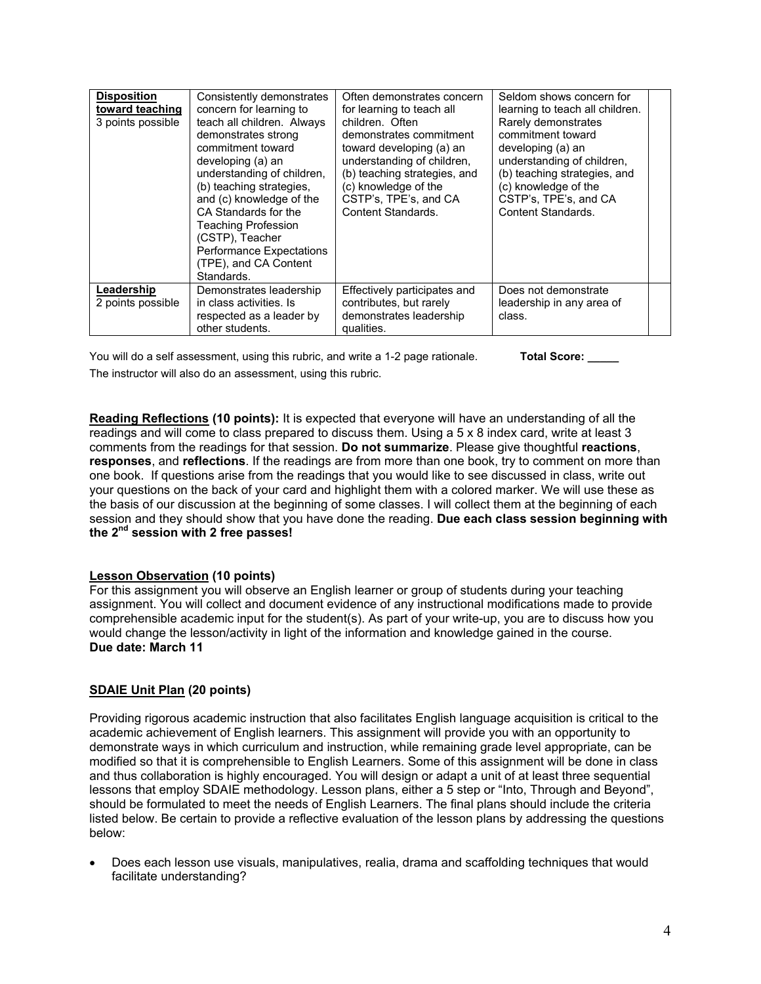| <b>Disposition</b><br>toward teaching<br>3 points possible | Consistently demonstrates<br>concern for learning to<br>teach all children. Always<br>demonstrates strong<br>commitment toward<br>developing (a) an<br>understanding of children,<br>(b) teaching strategies,<br>and (c) knowledge of the<br>CA Standards for the<br><b>Teaching Profession</b><br>(CSTP), Teacher<br>Performance Expectations<br>(TPE), and CA Content<br>Standards. | Often demonstrates concern<br>for learning to teach all<br>children. Often<br>demonstrates commitment<br>toward developing (a) an<br>understanding of children,<br>(b) teaching strategies, and<br>(c) knowledge of the<br>CSTP's, TPE's, and CA<br>Content Standards. | Seldom shows concern for<br>learning to teach all children.<br>Rarely demonstrates<br>commitment toward<br>developing (a) an<br>understanding of children,<br>(b) teaching strategies, and<br>(c) knowledge of the<br>CSTP's, TPE's, and CA<br>Content Standards. |  |
|------------------------------------------------------------|---------------------------------------------------------------------------------------------------------------------------------------------------------------------------------------------------------------------------------------------------------------------------------------------------------------------------------------------------------------------------------------|------------------------------------------------------------------------------------------------------------------------------------------------------------------------------------------------------------------------------------------------------------------------|-------------------------------------------------------------------------------------------------------------------------------------------------------------------------------------------------------------------------------------------------------------------|--|
| Leadership<br>2 points possible                            | Demonstrates leadership<br>in class activities. Is<br>respected as a leader by<br>other students.                                                                                                                                                                                                                                                                                     | Effectively participates and<br>contributes, but rarely<br>demonstrates leadership<br>qualities.                                                                                                                                                                       | Does not demonstrate<br>leadership in any area of<br>class.                                                                                                                                                                                                       |  |

You will do a self assessment, using this rubric, and write a 1-2 page rationale. **Total Score:** \_\_\_\_ The instructor will also do an assessment, using this rubric.

**Reading Reflections (10 points):** It is expected that everyone will have an understanding of all the readings and will come to class prepared to discuss them. Using a 5 x 8 index card, write at least 3 comments from the readings for that session. **Do not summarize**. Please give thoughtful **reactions**, **responses**, and **reflections**. If the readings are from more than one book, try to comment on more than one book. If questions arise from the readings that you would like to see discussed in class, write out your questions on the back of your card and highlight them with a colored marker. We will use these as the basis of our discussion at the beginning of some classes. I will collect them at the beginning of each session and they should show that you have done the reading. **Due each class session beginning with the 2nd session with 2 free passes!** 

### **Lesson Observation (10 points)**

For this assignment you will observe an English learner or group of students during your teaching assignment. You will collect and document evidence of any instructional modifications made to provide comprehensible academic input for the student(s). As part of your write-up, you are to discuss how you would change the lesson/activity in light of the information and knowledge gained in the course. **Due date: March 11** 

### **SDAIE Unit Plan (20 points)**

Providing rigorous academic instruction that also facilitates English language acquisition is critical to the academic achievement of English learners. This assignment will provide you with an opportunity to demonstrate ways in which curriculum and instruction, while remaining grade level appropriate, can be modified so that it is comprehensible to English Learners. Some of this assignment will be done in class and thus collaboration is highly encouraged. You will design or adapt a unit of at least three sequential lessons that employ SDAIE methodology. Lesson plans, either a 5 step or "Into, Through and Beyond", should be formulated to meet the needs of English Learners. The final plans should include the criteria listed below. Be certain to provide a reflective evaluation of the lesson plans by addressing the questions below:

• Does each lesson use visuals, manipulatives, realia, drama and scaffolding techniques that would facilitate understanding?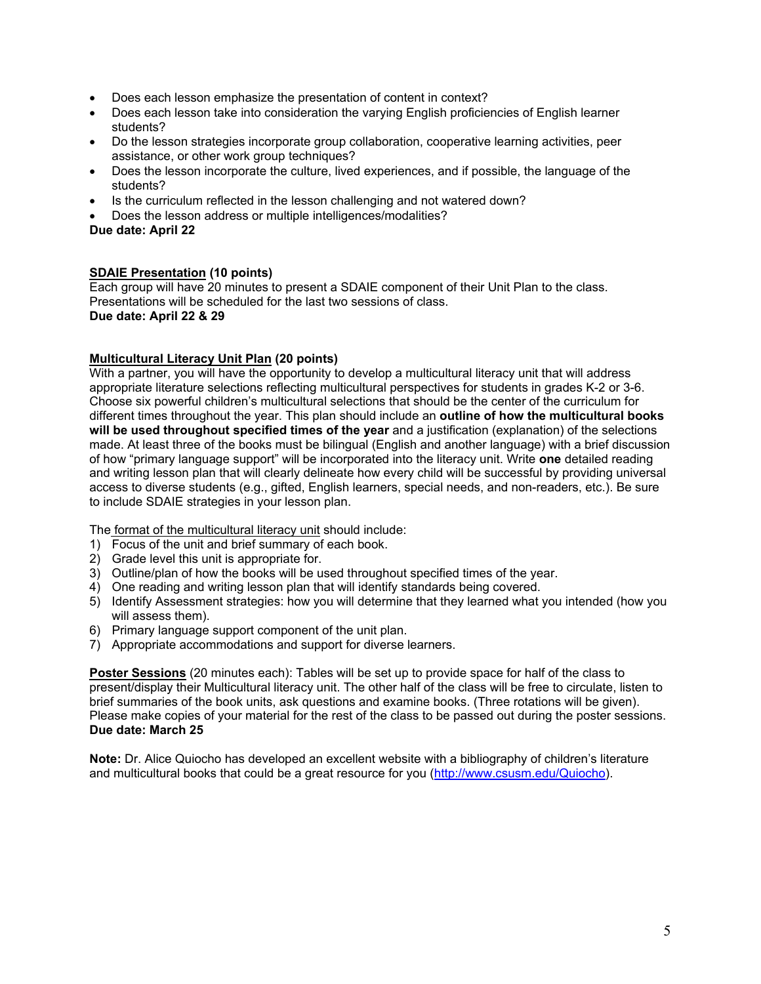- Does each lesson emphasize the presentation of content in context?
- Does each lesson take into consideration the varying English proficiencies of English learner students?
- Do the lesson strategies incorporate group collaboration, cooperative learning activities, peer assistance, or other work group techniques?
- Does the lesson incorporate the culture, lived experiences, and if possible, the language of the students?
- Is the curriculum reflected in the lesson challenging and not watered down?
- Does the lesson address or multiple intelligences/modalities?

**Due date: April 22**

### **SDAIE Presentation (10 points)**

Each group will have 20 minutes to present a SDAIE component of their Unit Plan to the class. Presentations will be scheduled for the last two sessions of class. **Due date: April 22 & 29** 

#### **Multicultural Literacy Unit Plan (20 points)**

With a partner, you will have the opportunity to develop a multicultural literacy unit that will address appropriate literature selections reflecting multicultural perspectives for students in grades K-2 or 3-6. Choose six powerful children's multicultural selections that should be the center of the curriculum for different times throughout the year. This plan should include an **outline of how the multicultural books**  will be used throughout specified times of the year and a justification (explanation) of the selections made. At least three of the books must be bilingual (English and another language) with a brief discussion of how "primary language support" will be incorporated into the literacy unit. Write **one** detailed reading and writing lesson plan that will clearly delineate how every child will be successful by providing universal access to diverse students (e.g., gifted, English learners, special needs, and non-readers, etc.). Be sure to include SDAIE strategies in your lesson plan.

The format of the multicultural literacy unit should include:

- 1) Focus of the unit and brief summary of each book.
- 2) Grade level this unit is appropriate for.
- 3) Outline/plan of how the books will be used throughout specified times of the year.
- 4) One reading and writing lesson plan that will identify standards being covered.
- 5) Identify Assessment strategies: how you will determine that they learned what you intended (how you will assess them).
- 6) Primary language support component of the unit plan.
- 7) Appropriate accommodations and support for diverse learners.

**Poster Sessions** (20 minutes each): Tables will be set up to provide space for half of the class to present/display their Multicultural literacy unit. The other half of the class will be free to circulate, listen to brief summaries of the book units, ask questions and examine books. (Three rotations will be given). Please make copies of your material for the rest of the class to be passed out during the poster sessions. **Due date: March 25** 

**Note:** Dr. Alice Quiocho has developed an excellent website with a bibliography of children's literature and multicultural books that could be a great resource for you (http://www.csusm.edu/Quiocho).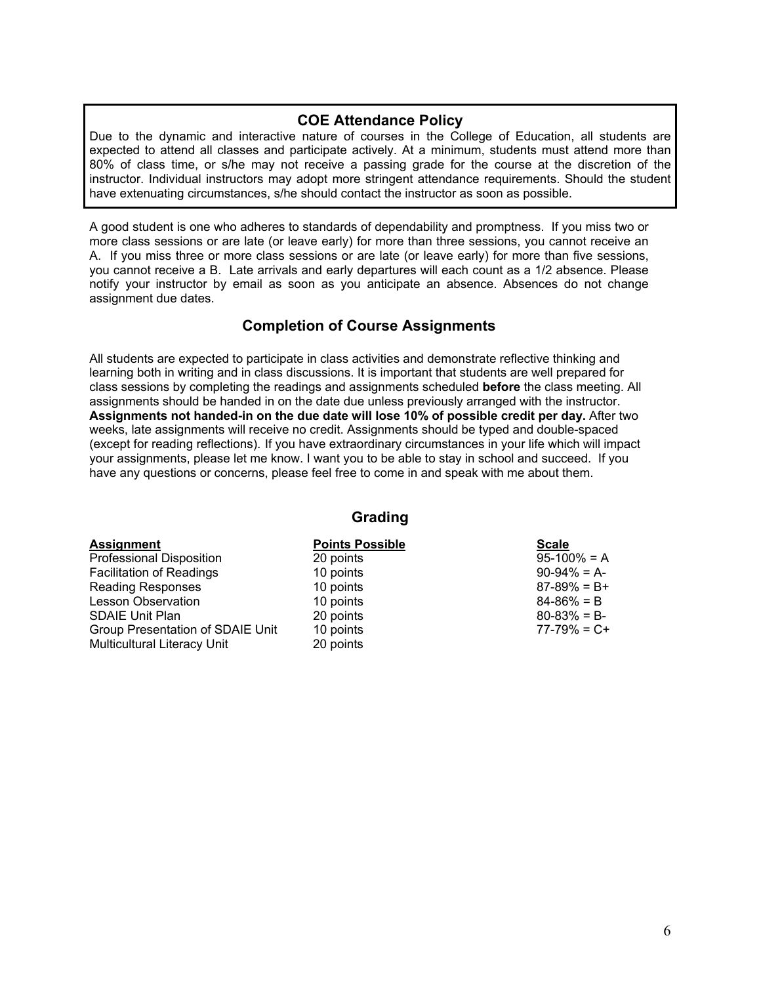### **COE Attendance Policy**

Due to the dynamic and interactive nature of courses in the College of Education, all students are expected to attend all classes and participate actively. At a minimum, students must attend more than 80% of class time, or s/he may not receive a passing grade for the course at the discretion of the instructor. Individual instructors may adopt more stringent attendance requirements. Should the student have extenuating circumstances, s/he should contact the instructor as soon as possible.

A good student is one who adheres to standards of dependability and promptness. If you miss two or more class sessions or are late (or leave early) for more than three sessions, you cannot receive an A. If you miss three or more class sessions or are late (or leave early) for more than five sessions, you cannot receive a B. Late arrivals and early departures will each count as a 1/2 absence. Please notify your instructor by email as soon as you anticipate an absence. Absences do not change assignment due dates.

# **Completion of Course Assignments**

All students are expected to participate in class activities and demonstrate reflective thinking and learning both in writing and in class discussions. It is important that students are well prepared for class sessions by completing the readings and assignments scheduled **before** the class meeting. All assignments should be handed in on the date due unless previously arranged with the instructor. **Assignments not handed-in on the due date will lose 10% of possible credit per day.** After two weeks, late assignments will receive no credit. Assignments should be typed and double-spaced (except for reading reflections). If you have extraordinary circumstances in your life which will impact your assignments, please let me know. I want you to be able to stay in school and succeed. If you have any questions or concerns, please feel free to come in and speak with me about them.

### **Grading**

| <b>Assignment</b>                  | <b>Points Possible</b> | <b>Scale</b>    |
|------------------------------------|------------------------|-----------------|
| Professional Disposition           | 20 points              | $95-100\% = A$  |
| <b>Facilitation of Readings</b>    | 10 points              | $90-94\% = A$   |
| <b>Reading Responses</b>           | 10 points              | $87-89\% = B+$  |
| <b>Lesson Observation</b>          | 10 points              | $84 - 86\% = B$ |
| <b>SDAIE Unit Plan</b>             | 20 points              | $80 - 83\% = B$ |
| Group Presentation of SDAIE Unit   | 10 points              | $77-79\% = C +$ |
| <b>Multicultural Literacy Unit</b> | 20 points              |                 |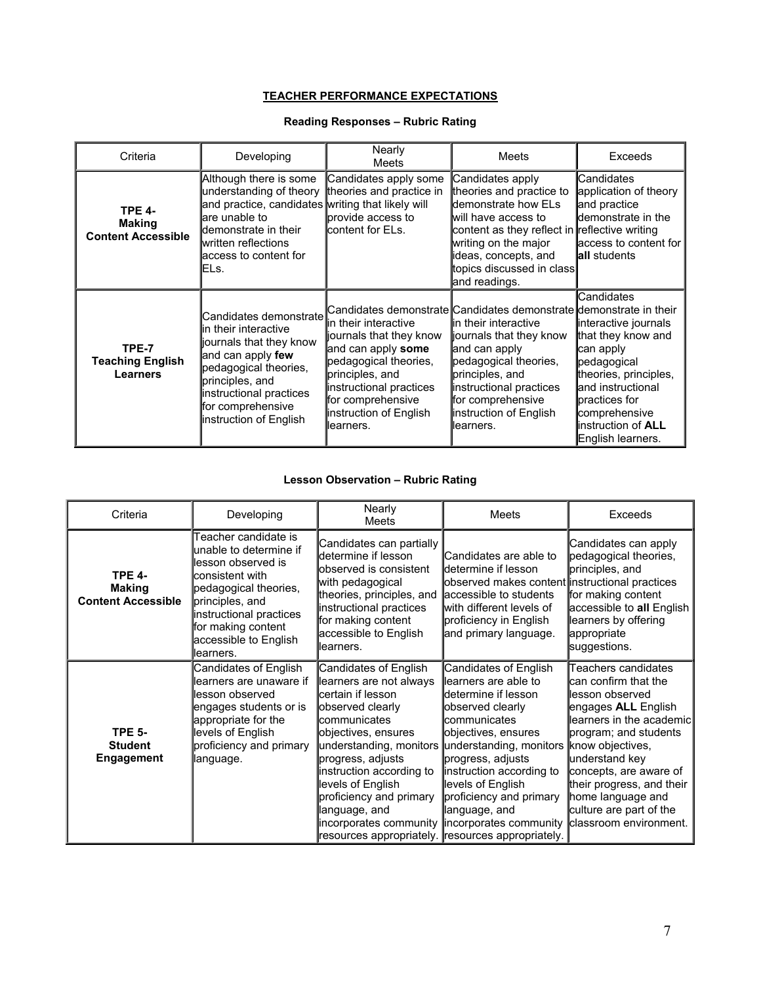#### **TEACHER PERFORMANCE EXPECTATIONS**

## **Reading Responses – Rubric Rating**

| Criteria                                                    | Developing                                                                                                                                                                                                                       | Nearly<br>Meets                                                                                                                                                                                                                                                                          | Meets                                                                                                                                                                                                                                      | Exceeds                                                                                                                                                                                                                   |
|-------------------------------------------------------------|----------------------------------------------------------------------------------------------------------------------------------------------------------------------------------------------------------------------------------|------------------------------------------------------------------------------------------------------------------------------------------------------------------------------------------------------------------------------------------------------------------------------------------|--------------------------------------------------------------------------------------------------------------------------------------------------------------------------------------------------------------------------------------------|---------------------------------------------------------------------------------------------------------------------------------------------------------------------------------------------------------------------------|
| <b>TPE 4-</b><br><b>Making</b><br><b>Content Accessible</b> | Although there is some<br>understanding of theory theories and practice in<br>and practice, candidates writing that likely will<br>are unable to<br>demonstrate in their<br>written reflections<br>access to content for<br>ELs. | Candidates apply some<br>provide access to<br>content for ELs.                                                                                                                                                                                                                           | Candidates apply<br>theories and practice to<br>demonstrate how ELs<br>lwill have access to<br>content as they reflect in reflective writing<br>writing on the major<br>ideas, concepts, and<br>topics discussed in class<br>and readings. | <b>I</b> Candidates<br>application of theory<br>and practice<br>demonstrate in the<br>access to content for<br><b>lail</b> students                                                                                       |
| <b>TPE-7</b><br><b>Teaching English</b><br><b>Learners</b>  | Candidates demonstrate<br>lin their interactive<br>journals that they know<br>and can apply few<br>pedagogical theories,<br>principles, and<br>instructional practices<br>for comprehensive<br>instruction of English            | Candidates demonstrate Candidates demonstrate demonstrate in their<br><b>l</b> in their interactive<br>journals that they know<br>and can apply some<br>pedagogical theories,<br>principles, and<br>instructional practices<br>for comprehensive<br>instruction of English<br>llearners. | in their interactive<br>journals that they know<br>and can apply<br>pedagogical theories,<br>principles, and<br>instructional practices<br>for comprehensive<br>instruction of English<br>llearners.                                       | Candidates<br>interactive journals<br>that they know and<br>can apply<br>pedagogical<br>theories, principles,<br>land instructional<br><b>I</b> practices for<br>comprehensive<br>instruction of ALL<br>English learners. |

### **Lesson Observation – Rubric Rating**

| Criteria                                                    | Developing                                                                                                                                                                                                                  | Nearly<br>Meets                                                                                                                                                                                                                                                                                                                         | <b>Meets</b>                                                                                                                                                                                                                                                                                                                                         | <b>Exceeds</b>                                                                                                                                                                                                                                                                                                      |
|-------------------------------------------------------------|-----------------------------------------------------------------------------------------------------------------------------------------------------------------------------------------------------------------------------|-----------------------------------------------------------------------------------------------------------------------------------------------------------------------------------------------------------------------------------------------------------------------------------------------------------------------------------------|------------------------------------------------------------------------------------------------------------------------------------------------------------------------------------------------------------------------------------------------------------------------------------------------------------------------------------------------------|---------------------------------------------------------------------------------------------------------------------------------------------------------------------------------------------------------------------------------------------------------------------------------------------------------------------|
| <b>TPE 4-</b><br><b>Making</b><br><b>Content Accessible</b> | Teacher candidate is<br>unable to determine if<br>llesson observed is<br>consistent with<br>pedagogical theories,<br>principles, and<br>instructional practices<br>for making content<br>accessible to English<br>learners. | Candidates can partially<br>determine if lesson<br>observed is consistent<br>with pedagogical<br>theories, principles, and<br>instructional practices<br>for making content<br>accessible to English<br>learners.                                                                                                                       | lCandidates are able to<br><b>I</b> determine if lesson<br>observed makes content instructional practices<br>accessible to students<br>with different levels of<br>proficiency in English<br>and primary language.                                                                                                                                   | Candidates can apply<br>pedagogical theories,<br>principles, and<br>for making content<br>accessible to all English<br>learners by offering<br>appropriate<br>suggestions.                                                                                                                                          |
| <b>TPE 5-</b><br><b>Student</b><br>Engagement               | Candidates of English<br>learners are unaware if<br>lesson observed<br>engages students or is<br>appropriate for the<br>levels of English<br>proficiency and primary<br>language.                                           | Candidates of English<br>learners are not always<br>certain if lesson<br>observed clearly<br><b>I</b> communicates<br>objectives, ensures<br>understanding, monitors<br>progress, adjusts<br>instruction according to<br>levels of English<br>proficiency and primary<br>language, and<br>incorporates community incorporates community | Candidates of English<br>llearners are able to<br><b>I</b> determine if lesson<br>observed clearly<br><b>I</b> communicates<br>objectives, ensures<br>understanding, monitors<br>progress, adjusts<br>instruction according to<br>levels of English<br>proficiency and primary<br>language, and<br>resources appropriately. resources appropriately. | Teachers candidates<br>can confirm that the<br>lesson observed<br>engages ALL English<br>llearners in the academicl<br>program; and students<br>know objectives,<br>understand key<br>concepts, are aware of<br>their progress, and their<br>home language and<br>culture are part of the<br>classroom environment. |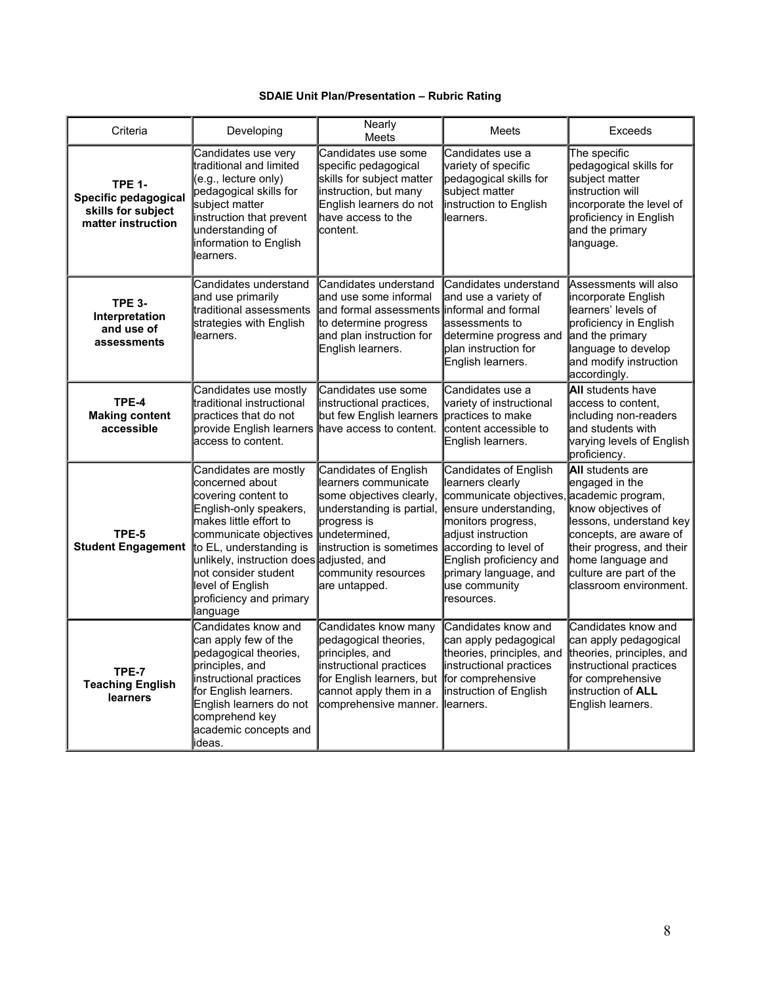### **SDAIE Unit Plan/Presentation – Rubric Rating**

| Criteria                                                                          | Developing                                                                                                                                                                                                                                                                                                                 | Nearly<br>Meets                                                                                                                                                                                                                         | <b>Meets</b>                                                                                                                                                                                                                | Exceeds                                                                                                                                                                                                                                          |
|-----------------------------------------------------------------------------------|----------------------------------------------------------------------------------------------------------------------------------------------------------------------------------------------------------------------------------------------------------------------------------------------------------------------------|-----------------------------------------------------------------------------------------------------------------------------------------------------------------------------------------------------------------------------------------|-----------------------------------------------------------------------------------------------------------------------------------------------------------------------------------------------------------------------------|--------------------------------------------------------------------------------------------------------------------------------------------------------------------------------------------------------------------------------------------------|
| <b>TPE 1-</b><br>Specific pedagogical<br>skills for subject<br>matter instruction | Candidates use very<br>traditional and limited<br>(e.g., lecture only)<br>pedagogical skills for<br>subject matter<br>instruction that prevent<br>understanding of<br>information to English<br>learners.                                                                                                                  | Candidates use some<br>specific pedagogical<br>skills for subject matter<br>instruction, but many<br>English learners do not<br>have access to the<br>lcontent.                                                                         | Candidates use a<br>variety of specific<br>pedagogical skills for<br>subject matter<br>instruction to English<br>learners.                                                                                                  | The specific<br>pedagogical skills for<br>subject matter<br>instruction will<br>incorporate the level of<br>proficiency in English<br>and the primary<br>language.                                                                               |
| <b>TPE 3-</b><br>Interpretation<br>and use of<br>assessments                      | Candidates understand<br>and use primarily<br>traditional assessments<br>strategies with English<br>learners.                                                                                                                                                                                                              | Candidates understand<br>and use some informal<br>and formal assessments informal and formal<br>to determine progress<br>and plan instruction for<br>English learners.                                                                  | Candidates understand<br>and use a variety of<br>assessments to<br>determine progress and<br>plan instruction for<br>English learners.                                                                                      | Assessments will also<br>incorporate English<br>learners' levels of<br>proficiency in English<br>and the primary<br>language to develop<br>and modify instruction<br>accordingly.                                                                |
| TPE-4<br><b>Making content</b><br>accessible                                      | Candidates use mostly<br>traditional instructional<br>practices that do not<br>provide English learners have access to content.<br>access to content.                                                                                                                                                                      | Candidates use some<br>instructional practices,<br>but few English learners practices to make                                                                                                                                           | Candidates use a<br>variety of instructional<br>content accessible to<br>English learners.                                                                                                                                  | <b>All</b> students have<br>access to content.<br>including non-readers<br>and students with<br>varying levels of English<br>proficiency.                                                                                                        |
| TPE-5                                                                             | Candidates are mostly<br>concerned about<br>covering content to<br>English-only speakers,<br>makes little effort to<br>communicate objectives<br>Student Engagement to EL, understanding is<br>unlikely, instruction does adjusted, and<br>not consider student<br>level of English<br>proficiency and primary<br>language | <b>Candidates of English</b><br>learners communicate<br>some objectives clearly,<br>understanding is partial,<br>progress is<br>undetermined,<br>instruction is sometimes according to level of<br>community resources<br>are untapped. | Candidates of English<br>learners clearly<br>communicate objectives<br>ensure understanding,<br>monitors progress,<br>adjust instruction<br>English proficiency and<br>primary language, and<br>use community<br>resources. | <b>All</b> students are<br>engaged in the<br>academic program,<br>know objectives of<br>lessons, understand key<br>concepts, are aware of<br>their progress, and their<br>home language and<br>culture are part of the<br>classroom environment. |
| TPE-7<br><b>Teaching English</b><br>learners                                      | Candidates know and<br>can apply few of the<br>pedagogical theories,<br>principles, and<br>instructional practices<br>for English learners.<br>English learners do not<br>comprehend key<br>academic concepts and<br>ideas.                                                                                                | Candidates know many<br>pedagogical theories,<br>principles, and<br>instructional practices<br>for English learners, but<br>cannot apply them in a<br>comprehensive manner.                                                             | Candidates know and<br>can apply pedagogical<br>theories, principles, and<br>instructional practices<br>for comprehensive<br>instruction of English<br>learners.                                                            | Candidates know and<br>can apply pedagogical<br>theories, principles, and<br>instructional practices<br>for comprehensive<br>instruction of ALL<br>English learners.                                                                             |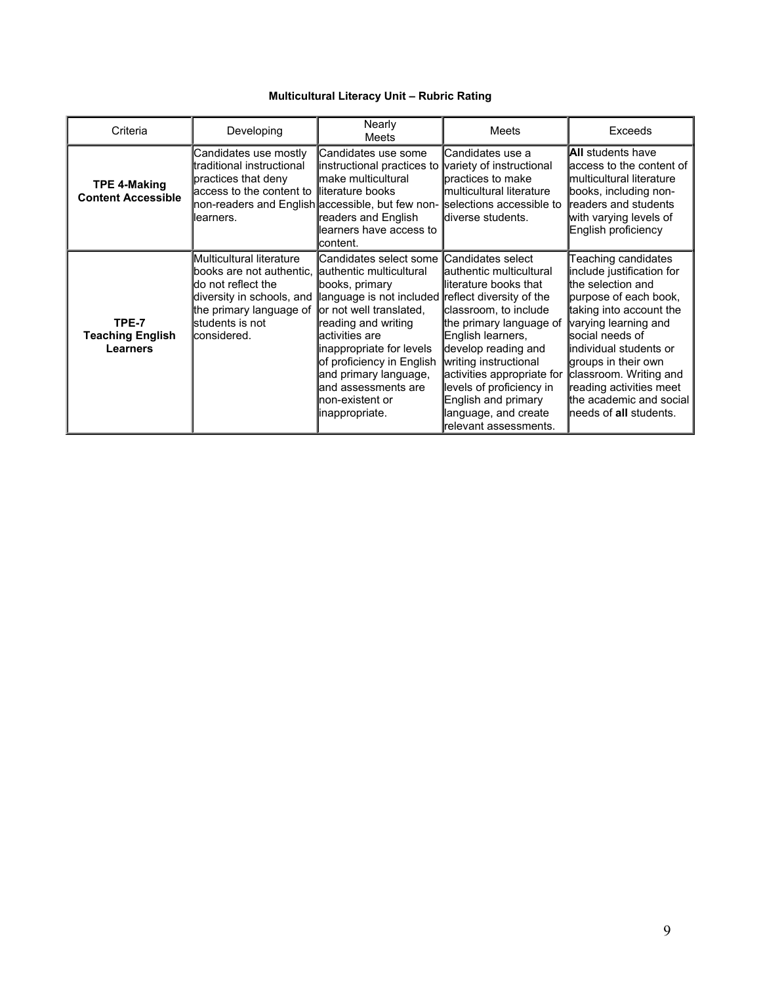### **Multicultural Literacy Unit – Rubric Rating**

| Criteria                                            | Developing                                                                                                                                                                                                        | <b>Nearly</b><br>Meets                                                                                                                                                                                                                                                                                            | <b>Meets</b>                                                                                                                                                                                                                                                                                                                      | Exceeds                                                                                                                                                                                                                                                                                                                           |
|-----------------------------------------------------|-------------------------------------------------------------------------------------------------------------------------------------------------------------------------------------------------------------------|-------------------------------------------------------------------------------------------------------------------------------------------------------------------------------------------------------------------------------------------------------------------------------------------------------------------|-----------------------------------------------------------------------------------------------------------------------------------------------------------------------------------------------------------------------------------------------------------------------------------------------------------------------------------|-----------------------------------------------------------------------------------------------------------------------------------------------------------------------------------------------------------------------------------------------------------------------------------------------------------------------------------|
| <b>TPE 4-Making</b><br><b>Content Accessible</b>    | Candidates use mostly<br>traditional instructional<br>practices that deny<br>access to the content to literature books<br>non-readers and English accessible, but few non- selections accessible to<br>llearners. | Candidates use some<br>instructional practices to<br><b>I</b> make multicultural<br>readers and English<br>learners have access to<br>lcontent.                                                                                                                                                                   | Candidates use a<br>variety of instructional<br>practices to make<br><b>Imulticultural literature</b><br><b>l</b> diverse students.                                                                                                                                                                                               | <b>AII</b> students have<br>access to the content of<br>lmulticultural literature<br>books, including non-<br>readers and students<br>with varying levels of<br>English proficiency                                                                                                                                               |
| TPE-7<br><b>Teaching English</b><br><b>Learners</b> | Multicultural literature<br>books are not authentic. authentic multicultural<br>ldo not reflect the<br>diversity in schools, and<br>the primary language of<br><b>s</b> tudents is not<br><b>l</b> considered.    | Candidates select some<br>books, primary<br>language is not included reflect diversity of the<br>or not well translated,<br>reading and writing<br>lactivities are<br>inappropriate for levels<br>of proficiency in English<br>and primary language,<br>and assessments are<br>non-existent or<br>linappropriate. | Candidates select<br>lauthentic multicultural<br>literature books that<br>classroom, to include<br>the primary language of<br>English learners,<br>develop reading and<br>writing instructional<br>activities appropriate for<br>levels of proficiency in<br>English and primary<br>language, and create<br>relevant assessments. | Teaching candidates<br>include justification for<br>the selection and<br>purpose of each book,<br>taking into account the<br>varying learning and<br>lsocial needs of<br>lindividual students or<br>groups in their own<br>classroom. Writing and<br>reading activities meet<br>the academic and social<br>needs of all students. |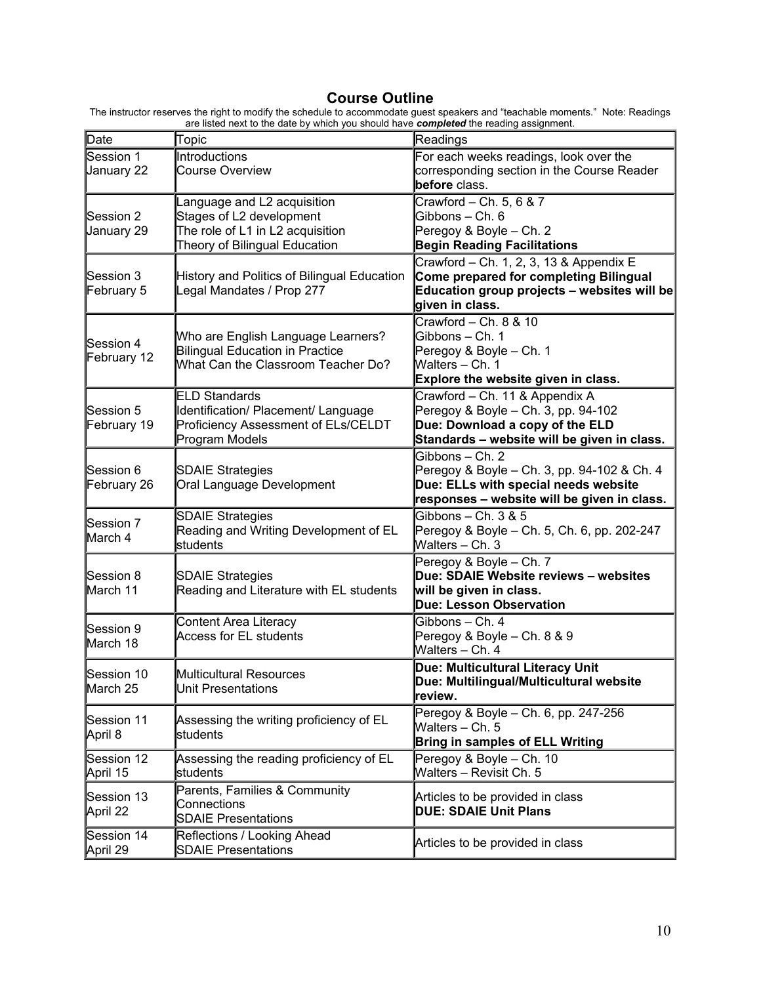# **Course Outline**

| __                                                                                                                             |
|--------------------------------------------------------------------------------------------------------------------------------|
| are listed next to the date by which you should have <b>completed</b> the reading assignment.                                  |
| The instructor reserves the right to modify the schedule to accommodate guest speakers and "teachable moments." Note: Readings |

| Date                     | Topic                                                                                                                        | Readings                                                                                                                                                |
|--------------------------|------------------------------------------------------------------------------------------------------------------------------|---------------------------------------------------------------------------------------------------------------------------------------------------------|
| Session 1<br>January 22  | Introductions<br><b>Course Overview</b>                                                                                      | For each weeks readings, look over the<br>corresponding section in the Course Reader<br>before class.                                                   |
| Session 2<br>January 29  | Language and L2 acquisition<br>Stages of L2 development<br>The role of L1 in L2 acquisition<br>Theory of Bilingual Education | Crawford - Ch. 5, 6 & 7<br>Gibbons - Ch. 6<br>Peregoy & Boyle - Ch. 2<br><b>Begin Reading Facilitations</b>                                             |
| Session 3<br>February 5  | History and Politics of Bilingual Education<br>Legal Mandates / Prop 277                                                     | Crawford - Ch. 1, 2, 3, 13 & Appendix E<br>Come prepared for completing Bilingual<br>Education group projects - websites will be<br>given in class.     |
| Session 4<br>February 12 | Who are English Language Learners?<br><b>Bilingual Education in Practice</b><br>What Can the Classroom Teacher Do?           | Crawford - Ch. 8 & 10<br>Gibbons - Ch. 1<br>Peregoy & Boyle - Ch. 1<br>Walters - Ch. 1<br>Explore the website given in class.                           |
| Session 5<br>February 19 | <b>ELD Standards</b><br>Identification/ Placement/ Language<br>Proficiency Assessment of ELs/CELDT<br>Program Models         | Crawford - Ch. 11 & Appendix A<br>Peregoy & Boyle - Ch. 3, pp. 94-102<br>Due: Download a copy of the ELD<br>Standards - website will be given in class. |
| Session 6<br>February 26 | <b>SDAIE Strategies</b><br>Oral Language Development                                                                         | Gibbons - Ch. 2<br>Peregoy & Boyle - Ch. 3, pp. 94-102 & Ch. 4<br>Due: ELLs with special needs website<br>responses - website will be given in class.   |
| Session 7<br>March 4     | <b>SDAIE Strategies</b><br>Reading and Writing Development of EL<br>students                                                 | Gibbons $-$ Ch. 3 & 5<br>Peregoy & Boyle - Ch. 5, Ch. 6, pp. 202-247<br>Walters - Ch. 3                                                                 |
| Session 8<br>March 11    | <b>SDAIE Strategies</b><br>Reading and Literature with EL students                                                           | Peregoy & Boyle - Ch. 7<br>Due: SDAIE Website reviews - websites<br>will be given in class.<br><b>Due: Lesson Observation</b>                           |
| Session 9<br>March 18    | <b>Content Area Literacy</b><br><b>Access for EL students</b>                                                                | Gibbons - Ch. 4<br>Peregoy & Boyle - Ch. 8 & 9<br>Walters - Ch. 4                                                                                       |
| Session 10<br>March 25   | Multicultural Resources<br>Unit Presentations                                                                                | Due: Multicultural Literacy Unit<br>Due: Multilingual/Multicultural website<br>review.                                                                  |
| Session 11<br>April 8    | Assessing the writing proficiency of EL<br>students                                                                          | Peregoy & Boyle - Ch. 6, pp. 247-256<br>Walters - Ch. 5<br><b>Bring in samples of ELL Writing</b>                                                       |
| Session 12<br>April 15   | Assessing the reading proficiency of EL<br>students                                                                          | Peregoy & Boyle - Ch. 10<br>Walters - Revisit Ch. 5                                                                                                     |
| Session 13<br>April 22   | Parents, Families & Community<br>Connections<br><b>SDAIE Presentations</b>                                                   | Articles to be provided in class<br><b>DUE: SDAIE Unit Plans</b>                                                                                        |
| Session 14<br>April 29   | Reflections / Looking Ahead<br><b>SDAIE Presentations</b>                                                                    | Articles to be provided in class                                                                                                                        |